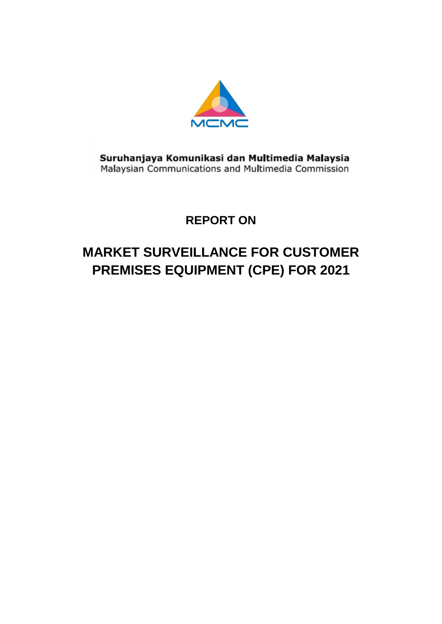

Suruhanjaya Komunikasi dan Multimedia Malaysia<br>Malaysian Communications and Multimedia Commission

# **REPORT ON**

# **MARKET SURVEILLANCE FOR CUSTOMER PREMISES EQUIPMENT (CPE) FOR 2021**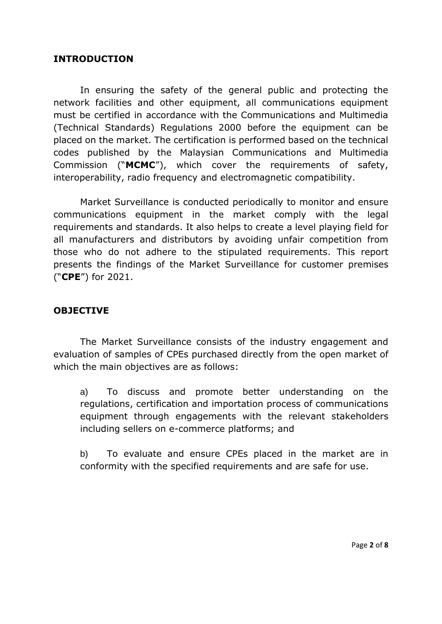#### <span id="page-2-0"></span>**INTRODUCTION**

In ensuring the safety of the general public and protecting the network facilities and other equipment, all communications equipment must be certified in accordance with the Communications and Multimedia (Technical Standards) Regulations 2000 before the equipment can be placed on the market. The certification is performed based on the technical codes published by the Malaysian Communications and Multimedia Commission ("**MCMC**"), which cover the requirements of safety, interoperability, radio frequency and electromagnetic compatibility.

Market Surveillance is conducted periodically to monitor and ensure communications equipment in the market comply with the legal requirements and standards. It also helps to create a level playing field for all manufacturers and distributors by avoiding unfair competition from those who do not adhere to the stipulated requirements. This report presents the findings of the Market Surveillance for customer premises ("**CPE**") for 2021.

#### <span id="page-2-1"></span>**OBJECTIVE**

The Market Surveillance consists of the industry engagement and evaluation of samples of CPEs purchased directly from the open market of which the main objectives are as follows:

a) To discuss and promote better understanding on the regulations, certification and importation process of communications equipment through engagements with the relevant stakeholders including sellers on e-commerce platforms; and

b) To evaluate and ensure CPEs placed in the market are in conformity with the specified requirements and are safe for use.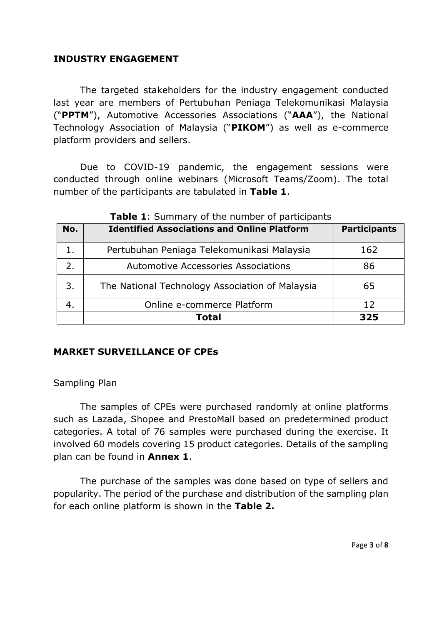#### <span id="page-3-0"></span>**INDUSTRY ENGAGEMENT**

The targeted stakeholders for the industry engagement conducted last year are members of Pertubuhan Peniaga Telekomunikasi Malaysia ("**PPTM**"), Automotive Accessories Associations ("**AAA**"), the National Technology Association of Malaysia ("**PIKOM**") as well as e-commerce platform providers and sellers.

Due to COVID-19 pandemic, the engagement sessions were conducted through online webinars (Microsoft Teams/Zoom). The total number of the participants are tabulated in **Table 1**.

| No. | <b>Identified Associations and Online Platform</b> | <b>Participants</b> |  |  |  |  |  |  |
|-----|----------------------------------------------------|---------------------|--|--|--|--|--|--|
| 1.  | Pertubuhan Peniaga Telekomunikasi Malaysia         | 162                 |  |  |  |  |  |  |
| 2.  | <b>Automotive Accessories Associations</b>         | 86                  |  |  |  |  |  |  |
| 3.  | The National Technology Association of Malaysia    | 65                  |  |  |  |  |  |  |
|     | Online e-commerce Platform                         | 12                  |  |  |  |  |  |  |
|     | <b>Total</b>                                       | 325                 |  |  |  |  |  |  |

**Table 1**: Summary of the number of participants

#### <span id="page-3-1"></span>**MARKET SURVEILLANCE OF CPEs**

#### <span id="page-3-2"></span>Sampling Plan

The samples of CPEs were purchased randomly at online platforms such as Lazada, Shopee and PrestoMall based on predetermined product categories. A total of 76 samples were purchased during the exercise. It involved 60 models covering 15 product categories. Details of the sampling plan can be found in **Annex 1**.

The purchase of the samples was done based on type of sellers and popularity. The period of the purchase and distribution of the sampling plan for each online platform is shown in the **Table 2.**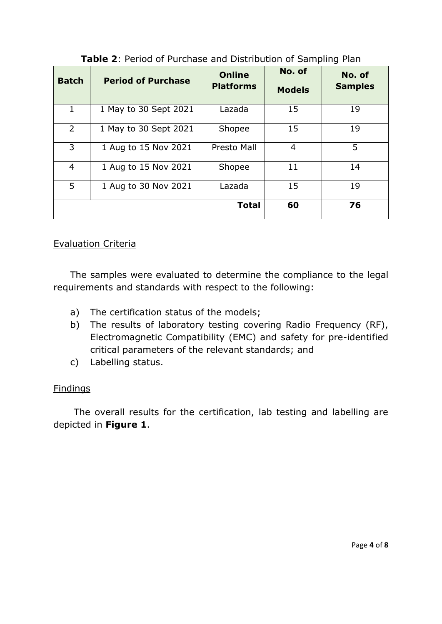| <b>Batch</b> | <b>Period of Purchase</b> | <b>Online</b><br><b>Platforms</b> |    | No. of<br><b>Samples</b> |  |
|--------------|---------------------------|-----------------------------------|----|--------------------------|--|
| 1            | 1 May to 30 Sept 2021     | Lazada                            | 15 | 19                       |  |
| 2            | 1 May to 30 Sept 2021     | Shopee                            | 15 | 19                       |  |
| 3            | 1 Aug to 15 Nov 2021      | Presto Mall                       | 4  | 5                        |  |
| 4            | 1 Aug to 15 Nov 2021      | Shopee                            | 11 | 14                       |  |
| 5            | 1 Aug to 30 Nov 2021      | Lazada                            | 15 | 19                       |  |
|              |                           | <b>Total</b>                      | 60 | 76                       |  |

**Table 2**: Period of Purchase and Distribution of Sampling Plan

#### <span id="page-4-0"></span>Evaluation Criteria

The samples were evaluated to determine the compliance to the legal requirements and standards with respect to the following:

- a) The certification status of the models;
- b) The results of laboratory testing covering Radio Frequency (RF), Electromagnetic Compatibility (EMC) and safety for pre-identified critical parameters of the relevant standards; and
- c) Labelling status.

#### <span id="page-4-1"></span>Findings

The overall results for the certification, lab testing and labelling are depicted in **Figure 1**.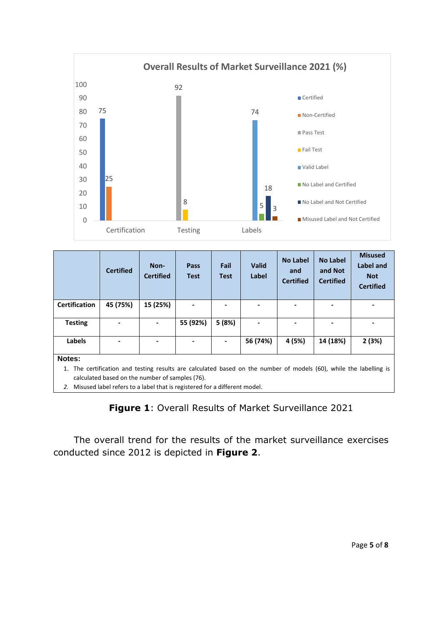

|                                                                                                                    | <b>Certified</b>                                | Non-<br><b>Certified</b> | Pass<br><b>Test</b> | Fail<br><b>Test</b> | <b>Valid</b><br>Label | <b>No Label</b><br>and<br><b>Certified</b> | <b>No Label</b><br>and Not<br><b>Certified</b> | <b>Misused</b><br><b>Label and</b><br><b>Not</b><br><b>Certified</b> |
|--------------------------------------------------------------------------------------------------------------------|-------------------------------------------------|--------------------------|---------------------|---------------------|-----------------------|--------------------------------------------|------------------------------------------------|----------------------------------------------------------------------|
| <b>Certification</b>                                                                                               | 45 (75%)                                        | 15 (25%)                 |                     |                     |                       |                                            |                                                |                                                                      |
| <b>Testing</b>                                                                                                     |                                                 |                          | 55 (92%)            | 5(8%)               |                       |                                            |                                                |                                                                      |
| Labels                                                                                                             |                                                 |                          |                     |                     | 56 (74%)              | 4 (5%)                                     | 14 (18%)                                       | 2(3%)                                                                |
| Notes:                                                                                                             |                                                 |                          |                     |                     |                       |                                            |                                                |                                                                      |
| 1. The certification and testing results are calculated based on the number of models (60), while the labelling is |                                                 |                          |                     |                     |                       |                                            |                                                |                                                                      |
|                                                                                                                    | calculated based on the number of samples (76). |                          |                     |                     |                       |                                            |                                                |                                                                      |

*2.* Misused label refers to a label that is registered for a different model.

## **Figure 1**: Overall Results of Market Surveillance 2021

The overall trend for the results of the market surveillance exercises conducted since 2012 is depicted in **Figure 2**.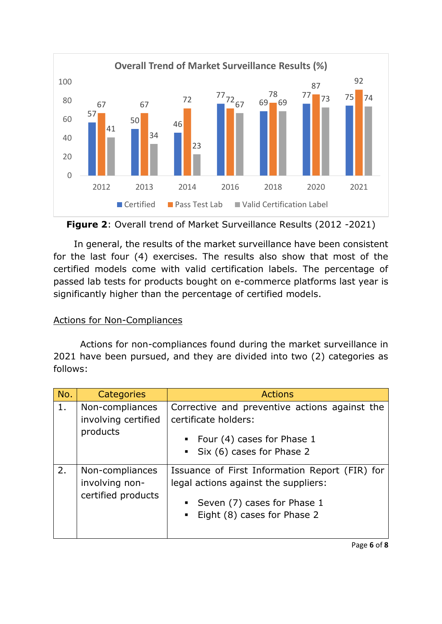

**Figure 2**: Overall trend of Market Surveillance Results (2012 -2021)

In general, the results of the market surveillance have been consistent for the last four (4) exercises. The results also show that most of the certified models come with valid certification labels. The percentage of passed lab tests for products bought on e-commerce platforms last year is significantly higher than the percentage of certified models.

## <span id="page-6-0"></span>Actions for Non-Compliances

Actions for non-compliances found during the market surveillance in 2021 have been pursued, and they are divided into two (2) categories as follows:

| No. | Categories                                              | <b>Actions</b>                                                                                                                                                         |  |  |  |  |
|-----|---------------------------------------------------------|------------------------------------------------------------------------------------------------------------------------------------------------------------------------|--|--|--|--|
| 1.  | Non-compliances<br>involving certified<br>products      | Corrective and preventive actions against the<br>certificate holders:<br>• Four (4) cases for Phase 1<br>• Six (6) cases for Phase 2                                   |  |  |  |  |
| 2.  | Non-compliances<br>involving non-<br>certified products | Issuance of First Information Report (FIR) for<br>legal actions against the suppliers:<br>Seven (7) cases for Phase 1<br>Eight (8) cases for Phase 2<br>$\blacksquare$ |  |  |  |  |

Page **6** of **8**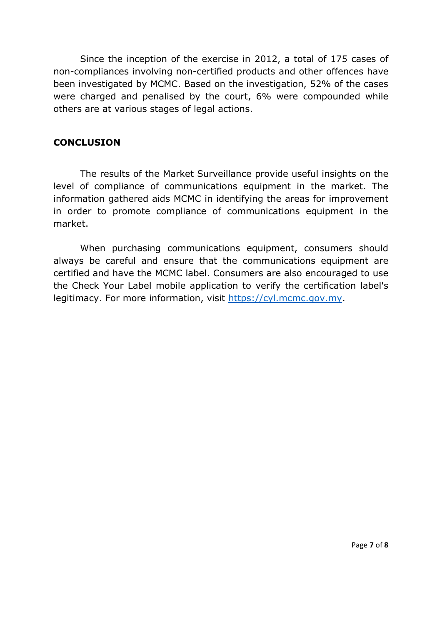Since the inception of the exercise in 2012, a total of 175 cases of non-compliances involving non-certified products and other offences have been investigated by MCMC. Based on the investigation, 52% of the cases were charged and penalised by the court, 6% were compounded while others are at various stages of legal actions.

#### <span id="page-7-0"></span>**CONCLUSION**

The results of the Market Surveillance provide useful insights on the level of compliance of communications equipment in the market. The information gathered aids MCMC in identifying the areas for improvement in order to promote compliance of communications equipment in the market.

When purchasing communications equipment, consumers should always be careful and ensure that the communications equipment are certified and have the MCMC label. Consumers are also encouraged to use the Check Your Label mobile application to verify the certification label's legitimacy. For more information, visit [https://cyl.mcmc.gov.my.](https://cyl.mcmc.gov.my/)